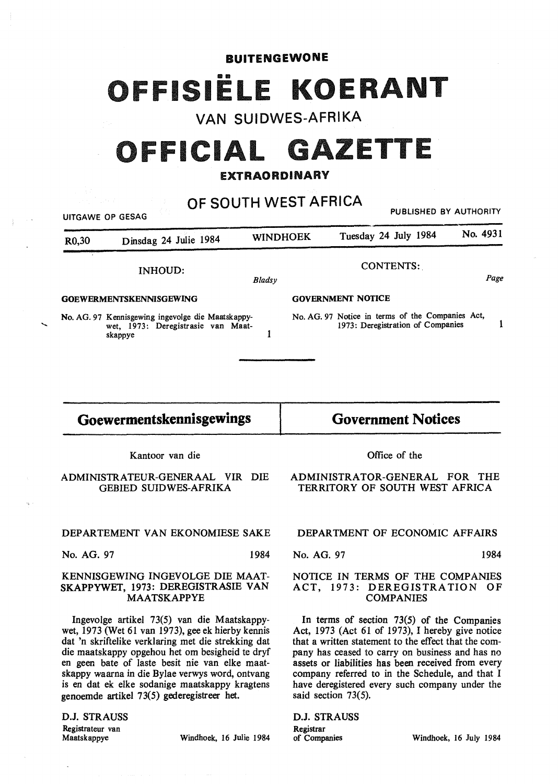#### BUITENGEWONE

# FFISIËLE KOERANT

## VAN SUIDWES-AFRIKA

## OFFICIAL GAZETTE

### EXTRAORDINARY

OF SOUTH WEST AFRICA PUBLISHED BY AUTHORITY UITGAWE OP GESAG R0,30 Dinsdag 24 Julie 1984 WINDHOEK Tuesday 24 July 1984 No. 4931 INHOUD: **GOEWERMENTSKENNISGEWING No.** AG. 97 Kennisgewing ingevolge die Maatskappywet, 1973: Deregistrasie van Maatskappye *Bladsy*  1 CONTENTS:. Page **GOVERNMENT NOTICE**  No. AG. 97 Notice in terms of the Companies Act, 1973: Deregistration of Companies 1

## **Goewermentskennisgewings**

**Government Notices** 

Kantoor van die

ADMINISTRATEUR-GENERAAL VIR DIE GEBIED SUIDWES-AFRIKA

#### DEPARTEMENT VAN EKONOMIESE SAKE

No. AG. 97 1984

#### **KENNISGEWING** INGEVOLGE **DIE MAAT-SKAPPYWET,** 1973: **DEREGISTRASIE VAN MAATSKAPPYE**

Ingevolge artikel 73(5) van die Maatskappywet, 1973 (Wet 61 van 1973), gee ek hierby kennis dat 'n skriftelike verklaring met die strekking dat die maatskappy opgehou het om besigheid te dryf en geen bate of laste besit nie van elke maatskappy waarna in die Bylae verwys word, ontvang is en dat ek elke sodanige maatskappy kragtens genoemde artikel 73(5) gederegistreer het.

D.J. STRAUSS Registrateur van<br>Maatskappye

......

Windhoek, 16 Julie 1984

Office of the

ADMINISTRATOR-GENERAL FOR THE TERRITORY OF SOUTH WEST AFRICA

#### DEPARTMENT OF ECONOMIC AFFAIRS

No. AG. 97 1984

#### NOTICE IN TERMS OF THE COMPANIES ACT, 1973: DEREGISTRATION OF COMPANIES

In terms of section 73(5) of the Companies Act, 1973 (Act 61 of 1973), I hereby give notice that a written statement to the effect that the company has ceased to carry on business and has no assets or liabilities has been received from every company referred to in the Schedule, and that I have deregistered every such company under the said section 73(5).

D.J. STRAUSS **Registrar**